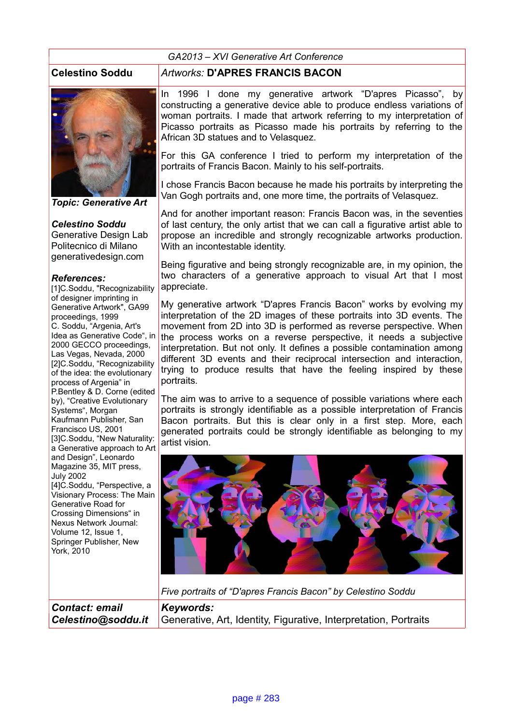#### *GA2013 – XVI Generative Art Conference*



*Topic: Generative Art*

## *Celestino Soddu*

Generative Design Lab Politecnico di Milano generativedesign.com

## *References:*

[1]C.Soddu, "Recognizability of designer imprinting in Generative Artwork", GA99 proceedings, 1999 C. Soddu, "Argenia, Art's Idea as Generative Code", in 2000 GECCO proceedings, Las Vegas, Nevada, 2000 [2]C.Soddu, "Recognizability of the idea: the evolutionary process of Argenia" in P.Bentley & D. Corne (edited by), "Creative Evolutionary Systems", Morgan Kaufmann Publisher, San Francisco US, 2001 [3]C.Soddu, "New Naturality: a Generative approach to Art and Design", Leonardo Magazine 35, MIT press, July 2002 [4]C.Soddu, "Perspective, a Visionary Process: The Main Generative Road for Crossing Dimensions" in Nexus Network Journal: Volume 12, Issue 1, Springer Publisher, New York, 2010

# **Celestino Soddu** *Artworks:* **D'APRES FRANCIS BACON**

In 1996 I done my generative artwork "D'apres Picasso", by constructing a generative device able to produce endless variations of woman portraits. I made that artwork referring to my interpretation of Picasso portraits as Picasso made his portraits by referring to the African 3D statues and to Velasquez.

For this GA conference I tried to perform my interpretation of the portraits of Francis Bacon. Mainly to his self-portraits.

I chose Francis Bacon because he made his portraits by interpreting the Van Gogh portraits and, one more time, the portraits of Velasquez.

And for another important reason: Francis Bacon was, in the seventies of last century, the only artist that we can call a figurative artist able to propose an incredible and strongly recognizable artworks production. With an incontestable identity.

Being figurative and being strongly recognizable are, in my opinion, the two characters of a generative approach to visual Art that I most appreciate.

My generative artwork "D'apres Francis Bacon" works by evolving my interpretation of the 2D images of these portraits into 3D events. The movement from 2D into 3D is performed as reverse perspective. When the process works on a reverse perspective, it needs a subjective interpretation. But not only. It defines a possible contamination among different 3D events and their reciprocal intersection and interaction, trying to produce results that have the feeling inspired by these portraits.

The aim was to arrive to a sequence of possible variations where each portraits is strongly identifiable as a possible interpretation of Francis Bacon portraits. But this is clear only in a first step. More, each generated portraits could be strongly identifiable as belonging to my artist vision.



*Five portraits of "D'apres Francis Bacon" by Celestino Soddu*

*Contact: email Celestino@soddu.it Keywords:*  Generative, Art, Identity, Figurative, Interpretation, Portraits